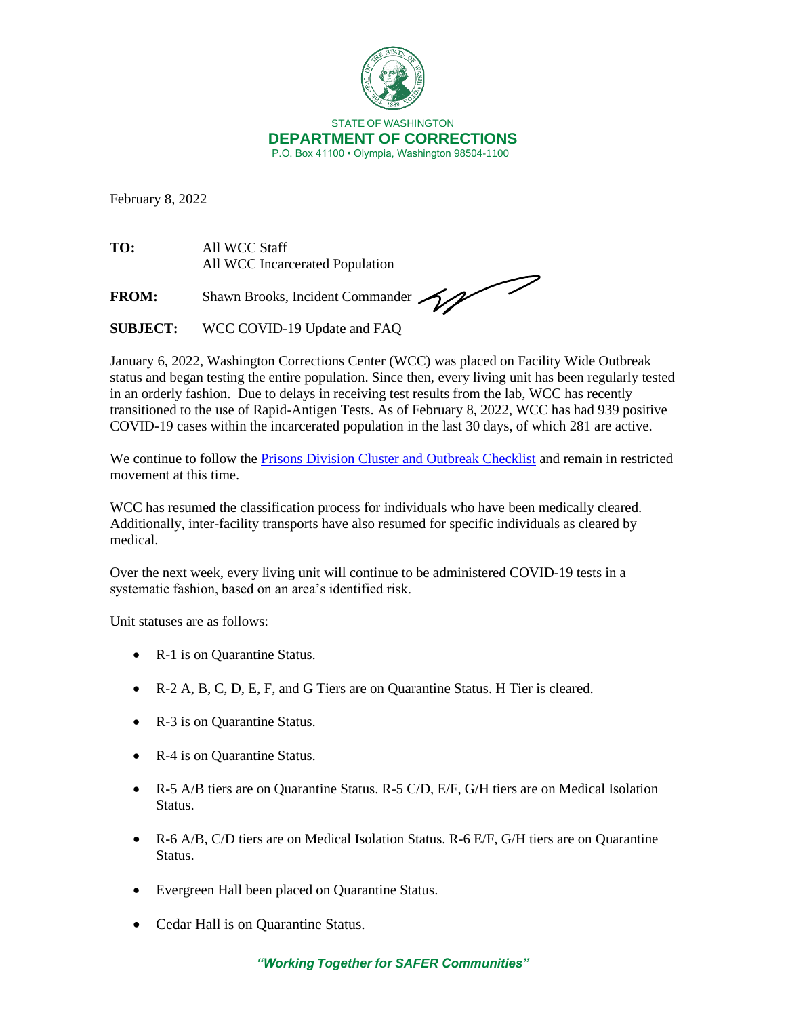

February 8, 2022

**TO:** All WCC Staff All WCC Incarcerated Population

FROM: Shawn Brooks, Incident Commander

**SUBJECT:** WCC COVID-19 Update and FAQ

January 6, 2022, Washington Corrections Center (WCC) was placed on Facility Wide Outbreak status and began testing the entire population. Since then, every living unit has been regularly tested in an orderly fashion. Due to delays in receiving test results from the lab, WCC has recently transitioned to the use of Rapid-Antigen Tests. As of February 8, 2022, WCC has had 939 positive COVID-19 cases within the incarcerated population in the last 30 days, of which 281 are active.

We continue to follow the [Prisons Division Cluster and Outbreak Checklist](https://doc.wa.gov/corrections/covid-19/docs/outbreak-checklist.pdf) and remain in restricted movement at this time.

WCC has resumed the classification process for individuals who have been medically cleared. Additionally, inter-facility transports have also resumed for specific individuals as cleared by medical.

Over the next week, every living unit will continue to be administered COVID-19 tests in a systematic fashion, based on an area's identified risk.

Unit statuses are as follows:

- R-1 is on Quarantine Status.
- R-2 A, B, C, D, E, F, and G Tiers are on Quarantine Status. H Tier is cleared.
- R-3 is on Quarantine Status.
- R-4 is on Quarantine Status.
- R-5 A/B tiers are on Quarantine Status. R-5 C/D, E/F, G/H tiers are on Medical Isolation Status.
- R-6 A/B, C/D tiers are on Medical Isolation Status. R-6 E/F, G/H tiers are on Quarantine Status.
- Evergreen Hall been placed on Quarantine Status.
- Cedar Hall is on Quarantine Status.